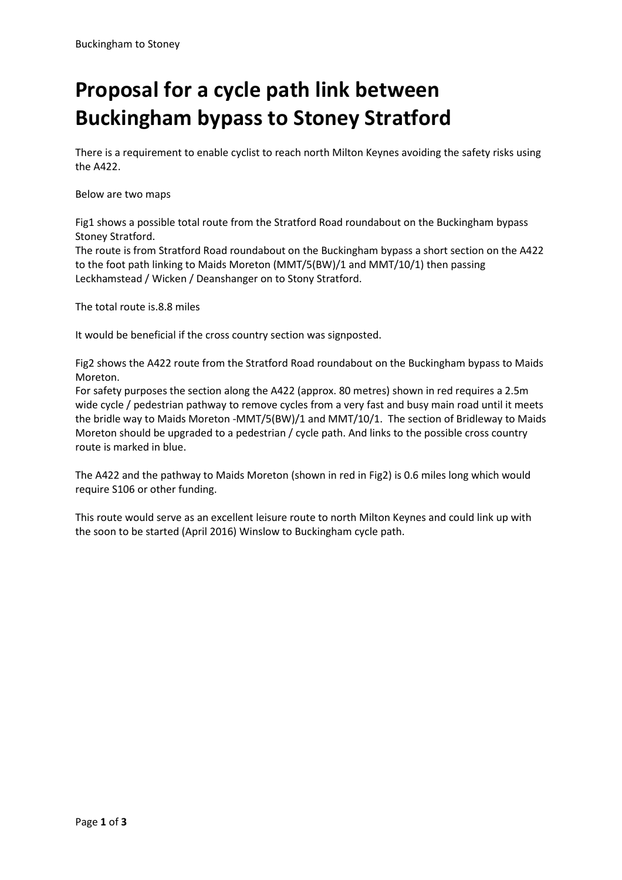## **Proposal for a cycle path link between Buckingham bypass to Stoney Stratford**

There is a requirement to enable cyclist to reach north Milton Keynes avoiding the safety risks using the A422.

Below are two maps

Fig1 shows a possible total route from the Stratford Road roundabout on the Buckingham bypass Stoney Stratford.

The route is from Stratford Road roundabout on the Buckingham bypass a short section on the A422 to the foot path linking to Maids Moreton (MMT/5(BW)/1 and MMT/10/1) then passing Leckhamstead / Wicken / Deanshanger on to Stony Stratford.

The total route is.8.8 miles

It would be beneficial if the cross country section was signposted.

Fig2 shows the A422 route from the Stratford Road roundabout on the Buckingham bypass to Maids Moreton.

For safety purposes the section along the A422 (approx. 80 metres) shown in red requires a 2.5m wide cycle / pedestrian pathway to remove cycles from a very fast and busy main road until it meets the bridle way to Maids Moreton -MMT/5(BW)/1 and MMT/10/1. The section of Bridleway to Maids Moreton should be upgraded to a pedestrian / cycle path. And links to the possible cross country route is marked in blue.

The A422 and the pathway to Maids Moreton (shown in red in Fig2) is 0.6 miles long which would require S106 or other funding.

This route would serve as an excellent leisure route to north Milton Keynes and could link up with the soon to be started (April 2016) Winslow to Buckingham cycle path.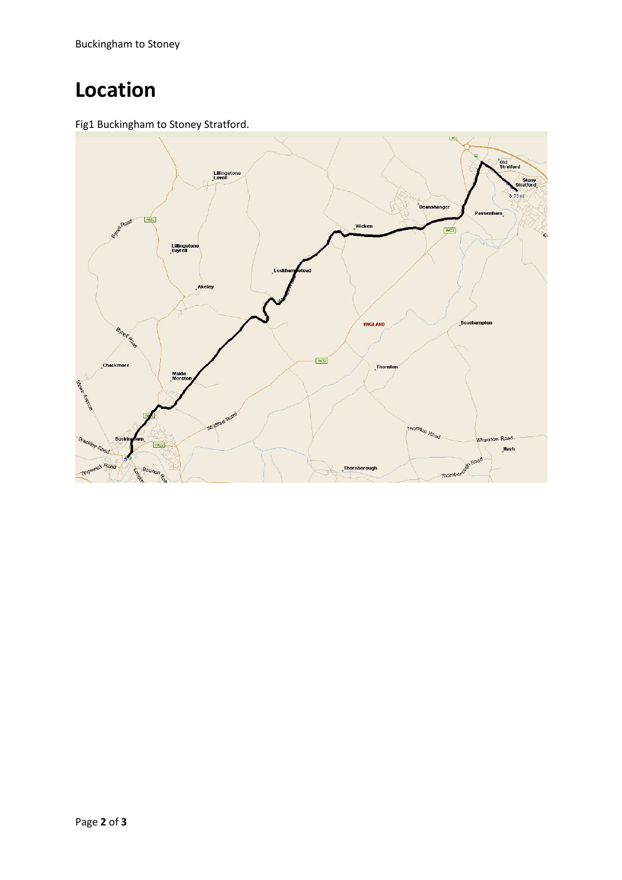Buckingham to Stoney

## **Location**

Fig1 Buckingham to Stoney Stratford.